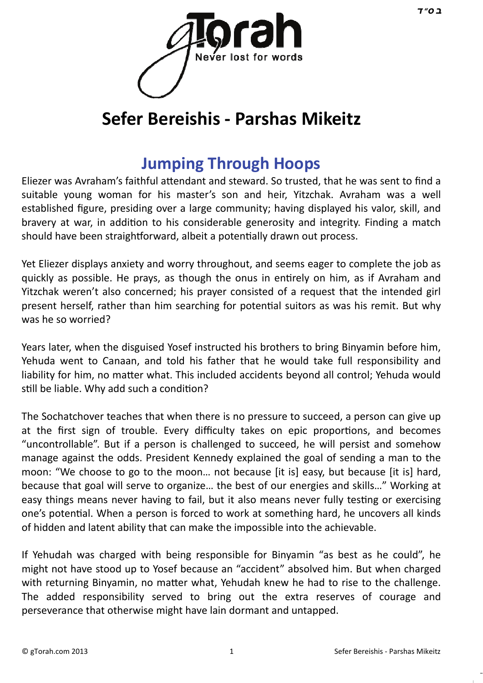

# **Sefer Bereishis - Parshas Mikeitz**

## **J[umping Through Hoops](http://gtorah.com/2013/10/23/jumping-through-hoops/)**

Eliezer was Avraham's faithful attendant and steward. So trusted, that he was sent to find a suitable young woman for his master's son and heir, Yitzchak. Avraham was a well established figure, presiding over a large community; having displayed his valor, skill, and bravery at war, in addition to his considerable generosity and integrity. Finding a match should have been straightforward, albeit a potentially drawn out process.

Yet Eliezer displays anxiety and worry throughout, and seems eager to complete the job as quickly as possible. He prays, as though the onus in entirely on him, as if Avraham and Yitzchak weren't also concerned; his prayer consisted of a request that the intended girl present herself, rather than him searching for potential suitors as was his remit. But why was he so worried?

Years later, when the disguised Yosef instructed his brothers to bring Binyamin before him, Yehuda went to Canaan, and told his father that he would take full responsibility and liability for him, no matter what. This included accidents beyond all control; Yehuda would still be liable. Why add such a condition?

The Sochatchover teaches that when there is no pressure to succeed, a person can give up at the first sign of trouble. Every difficulty takes on epic proportions, and becomes "uncontrollable". But if a person is challenged to succeed, he will persist and somehow manage against the odds. President Kennedy explained the goal of sending a man to the moon: "We choose to go to the moon… not because [it is] easy, but because [it is] hard, because that goal will serve to organize… the best of our energies and skills…" Working at easy things means never having to fail, but it also means never fully testing or exercising one's potential. When a person is forced to work at something hard, he uncovers all kinds of hidden and latent ability that can make the impossible into the achievable.

If Yehudah was charged with being responsible for Binyamin "as best as he could", he might not have stood up to Yosef because an "accident" absolved him. But when charged with returning Binyamin, no matter what, Yehudah knew he had to rise to the challenge. The added responsibility served to bring out the extra reserves of courage and perseverance that otherwise might have lain dormant and untapped.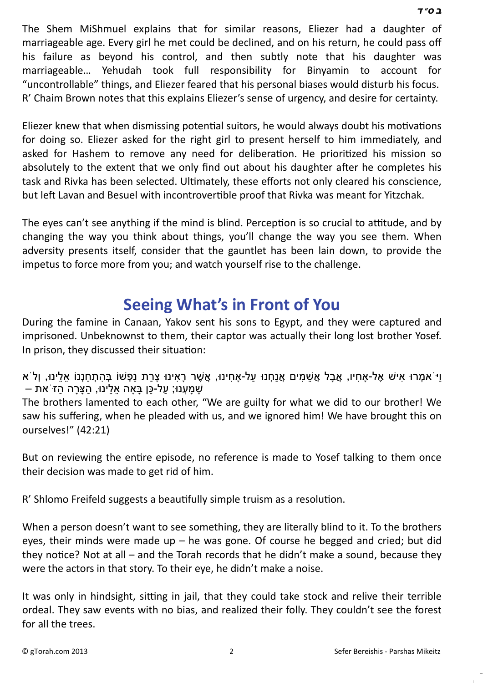The Shem MiShmuel explains that for similar reasons, Eliezer had a daughter[of](http://en.wikipedia.org/wiki/Samekh)  marriageable age. Every girl he met could be declined, and on his return, he could pass off his failure as beyond his control, and then subtly note that his daughter was marriageable… Yehudah took full responsibility for Binyamin to account for "uncontrollable" things, and Eliezer feared that his personal biases would disturb his focus. R' Chaim Brown notes that this explains Eliezer's sense of urgency, and desire for certainty.

Eliezer knew that when dismissing potential suitors, he would always doubt his motivations for doing so. Eliezer asked for the right girl to present herself to him immediately, and asked for Hashem to remove any need for deliberation. He prioritized his mission so absolutely to the extent that we only find out about his daughter after he completes his task and Rivka has been selected. Ultimately, these efforts not only cleared his conscience, but left Lavan and Besuel with incontrovertible proof that Rivka was meant for Yitzchak.

The eyes can't see anything if the mind is blind. Perception is so crucial to attitude, and by changing the way you think about things, you'll change the way you see them. When adversity presents itself, consider that the gauntlet has been lain down, to provide the impetus to force more from you; and watch yourself rise to the challenge.

## **S[eeing What's in Front of You](http://gtorah.com/2012/12/07/seeing-whats-in-front-of-you/)**

During the famine in Canaan, Yakov sent his sons to Egypt, and they were captured and imprisoned. Unbeknownst to them, their captor was actually their long lost brother Yosef. In prison, they discussed their situation:

ּוּ אִמְרוּ אִישׁ אֶל-אַחִיו, אֲבַל אֲשִׁמִים אֲנַחְנוּ על-אַחִינוּ, אֲשֶׁר רַאִינוּ צַרִת נַפְשׁוֹ בְּהֹתְחַנְנוֹ אלינוּ, וְלֹא שַׁמַעָנוּ; על-כַּן בַּאה אלינוּ, הצַרַה הזֹ את –

The brothers lamented to each other, "We are guilty for what we did to our brother! We saw his suffering, when he pleaded with us, and we ignored him! We have brought this on ourselves!" (42:21)

But on reviewing the entire episode, no reference is made to Yosef talking to them once their decision was made to get rid of him.

R' Shlomo Freifeld suggests a beautifully simple truism as a resolution.

When a person doesn't want to see something, they are literally blind to it. To the brothers eyes, their minds were made up  $-$  he was gone. Of course he begged and cried; but did they notice? Not at all – and the Torah records that he didn't make a sound, because they were the actors in that story. To their eye, he didn't make a noise.

It was only in hindsight, sitting in jail, that they could take stock and relive their terrible ordeal. They saw events with no bias, and realized their folly. They couldn't see the forest for all the trees.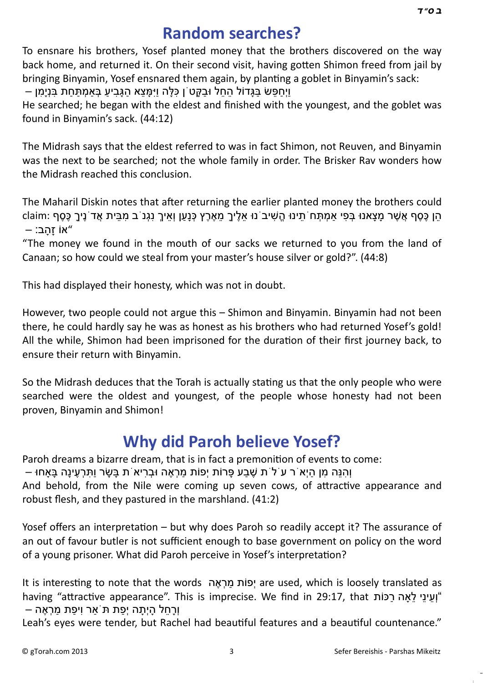#### **[Random searches?](http://gtorah.com/2009/12/17/random-searches/)**

To ensnare his brothers, Yosef planted money that the brothers discovered on the way back home, and returned it. On their second visit, having gotten Shimon freed from jail by bringing Binyamin, Yosef ensnared them again, by planting a goblet in Binyamin's sack:

וַיְחִפָּשׂ בַּגְּדוֹל הַחַל וּבַקְטֹן כִּלָּה וַיִּמַּצַא הַגְּבִיע בַּאמִתְּחַת בַּנִימַן –

He searched; he began with the eldest and finished with the youngest, and the goblet was found in Binyamin's sack. (44:12)

The Midrash says that the eldest referred to was in fact Shimon, not Reuven, and Binyamin was the next to be searched; not the whole family in order. The Brisker Rav wonders how the Midrash reached this conclusion.

The Maharil Diskin notes that after returning the earlier planted money the brothers could הֵן כֶּסֶף אֲשֶׁר מַצָּאנוּ בְּפִי אַמְתָּח תֵינוּ הֵשִׁיב נוּ אֵלֵיךָ מֵאֶרֶץ כְּנַעַן וְאֵיךָ נִגְנֹ ב מִבֵּית אֲד נֵיךָ כֶּסֶף :claim  $-$  אוֹ זהב $"$ 

"The money we found in the mouth of our sacks we returned to you from the land of Canaan; so how could we steal from your master's house silver or gold?". (44:8)

This had displayed their honesty, which was not in doubt.

However, two people could not argue this – Shimon and Binyamin. Binyamin had not been there, he could hardly say he was as honest as his brothers who had returned Yosef's gold! All the while, Shimon had been imprisoned for the duration of their first journey back, to ensure their return with Binyamin.

So the Midrash deduces that the Torah is actually stating us that the only people who were searched were the oldest and youngest, of the people whose honesty had not been proven, Binyamin and Shimon!

### **[Why did Paroh believe Yosef?](http://gtorah.com/2009/12/14/cow-spirituality-what/)**

Paroh dreams a bizarre dream, that is in fact a premonition of events to come:

ּ וְהִנֵּה מִן הִיְאֹר עֹלֹת שֶׁבַע פַּרוֹת יְפוֹת מַרְאֶה וּבְרִיא ת בַּשַׂר וִתְּרְעֵינַה בַּאַחוּ –

And behold, from the Nile were coming up seven cows, of attractive appearance and robust flesh, and they pastured in the marshland. (41:2)

Yosef offers an interpretation – but why does Paroh so readily accept it? The assurance of an out of favour butler is not sufficient enough to base government on policy on the word of a young prisoner. What did Paroh perceive in Yosef's interpretation?

It is interesting to note that the words יְפוֹת מרְאֵה are used, which is loosely translated as having "attractive appearance". This is imprecise. We find in 29:17, that "וְעֵינֵי לֵאֲה רַכּוֹת וְרָ חֵ ל הָ יְתָ ה יְפַ ת תֹּאַר וִיפַ ת מַ רְ אֶ ה –

Leah's eyes were tender, but Rachel had beautiful features and a beautiful countenance."